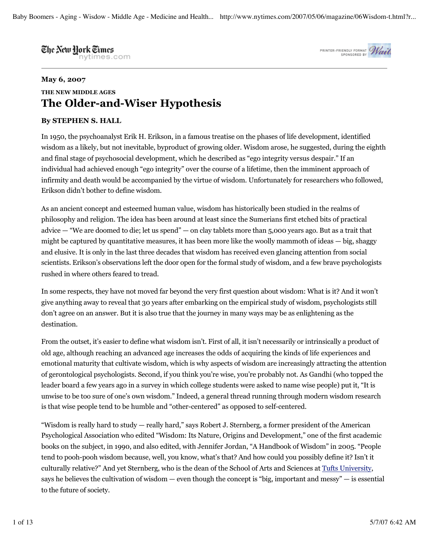The New Hork Times nytimes.com



## **May 6, 2007**

## **THE NEW MIDDLE AGES The Older-and-Wiser Hypothesis**

## **By STEPHEN S. HALL**

In 1950, the psychoanalyst Erik H. Erikson, in a famous treatise on the phases of life development, identified wisdom as a likely, but not inevitable, byproduct of growing older. Wisdom arose, he suggested, during the eighth and final stage of psychosocial development, which he described as "ego integrity versus despair." If an individual had achieved enough "ego integrity" over the course of a lifetime, then the imminent approach of infirmity and death would be accompanied by the virtue of wisdom. Unfortunately for researchers who followed, Erikson didn't bother to define wisdom.

As an ancient concept and esteemed human value, wisdom has historically been studied in the realms of philosophy and religion. The idea has been around at least since the Sumerians first etched bits of practical advice — "We are doomed to die; let us spend" — on clay tablets more than 5,000 years ago. But as a trait that might be captured by quantitative measures, it has been more like the woolly mammoth of ideas — big, shaggy and elusive. It is only in the last three decades that wisdom has received even glancing attention from social scientists. Erikson's observations left the door open for the formal study of wisdom, and a few brave psychologists rushed in where others feared to tread.

In some respects, they have not moved far beyond the very first question about wisdom: What is it? And it won't give anything away to reveal that 30 years after embarking on the empirical study of wisdom, psychologists still don't agree on an answer. But it is also true that the journey in many ways may be as enlightening as the destination.

From the outset, it's easier to define what wisdom isn't. First of all, it isn't necessarily or intrinsically a product of old age, although reaching an advanced age increases the odds of acquiring the kinds of life experiences and emotional maturity that cultivate wisdom, which is why aspects of wisdom are increasingly attracting the attention of gerontological psychologists. Second, if you think you're wise, you're probably not. As Gandhi (who topped the leader board a few years ago in a survey in which college students were asked to name wise people) put it, "It is unwise to be too sure of one's own wisdom." Indeed, a general thread running through modern wisdom research is that wise people tend to be humble and "other-centered" as opposed to self-centered.

"Wisdom is really hard to study — really hard," says Robert J. Sternberg, a former president of the American Psychological Association who edited "Wisdom: Its Nature, Origins and Development," one of the first academic books on the subject, in 1990, and also edited, with Jennifer Jordan, "A Handbook of Wisdom" in 2005. "People tend to pooh-pooh wisdom because, well, you know, what's that? And how could you possibly define it? Isn't it culturally relative?" And yet Sternberg, who is the dean of the School of Arts and Sciences at Tufts University, says he believes the cultivation of wisdom — even though the concept is "big, important and messy" — is essential to the future of society.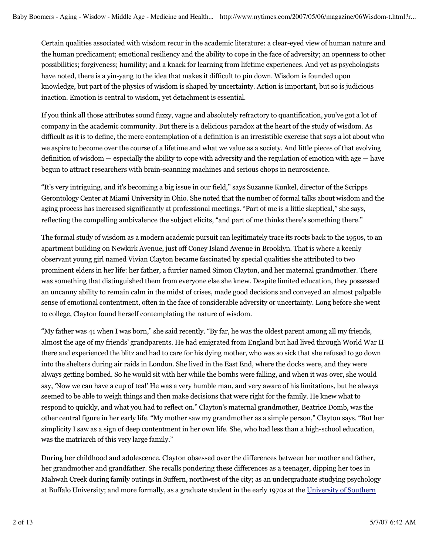Certain qualities associated with wisdom recur in the academic literature: a clear-eyed view of human nature and the human predicament; emotional resiliency and the ability to cope in the face of adversity; an openness to other possibilities; forgiveness; humility; and a knack for learning from lifetime experiences. And yet as psychologists have noted, there is a yin-yang to the idea that makes it difficult to pin down. Wisdom is founded upon knowledge, but part of the physics of wisdom is shaped by uncertainty. Action is important, but so is judicious inaction. Emotion is central to wisdom, yet detachment is essential.

If you think all those attributes sound fuzzy, vague and absolutely refractory to quantification, you've got a lot of company in the academic community. But there is a delicious paradox at the heart of the study of wisdom. As difficult as it is to define, the mere contemplation of a definition is an irresistible exercise that says a lot about who we aspire to become over the course of a lifetime and what we value as a society. And little pieces of that evolving definition of wisdom — especially the ability to cope with adversity and the regulation of emotion with age — have begun to attract researchers with brain-scanning machines and serious chops in neuroscience.

"It's very intriguing, and it's becoming a big issue in our field," says Suzanne Kunkel, director of the Scripps Gerontology Center at Miami University in Ohio. She noted that the number of formal talks about wisdom and the aging process has increased significantly at professional meetings. "Part of me is a little skeptical," she says, reflecting the compelling ambivalence the subject elicits, "and part of me thinks there's something there."

The formal study of wisdom as a modern academic pursuit can legitimately trace its roots back to the 1950s, to an apartment building on Newkirk Avenue, just off Coney Island Avenue in Brooklyn. That is where a keenly observant young girl named Vivian Clayton became fascinated by special qualities she attributed to two prominent elders in her life: her father, a furrier named Simon Clayton, and her maternal grandmother. There was something that distinguished them from everyone else she knew. Despite limited education, they possessed an uncanny ability to remain calm in the midst of crises, made good decisions and conveyed an almost palpable sense of emotional contentment, often in the face of considerable adversity or uncertainty. Long before she went to college, Clayton found herself contemplating the nature of wisdom.

"My father was 41 when I was born," she said recently. "By far, he was the oldest parent among all my friends, almost the age of my friends' grandparents. He had emigrated from England but had lived through World War II there and experienced the blitz and had to care for his dying mother, who was so sick that she refused to go down into the shelters during air raids in London. She lived in the East End, where the docks were, and they were always getting bombed. So he would sit with her while the bombs were falling, and when it was over, she would say, 'Now we can have a cup of tea!' He was a very humble man, and very aware of his limitations, but he always seemed to be able to weigh things and then make decisions that were right for the family. He knew what to respond to quickly, and what you had to reflect on." Clayton's maternal grandmother, Beatrice Domb, was the other central figure in her early life. "My mother saw my grandmother as a simple person," Clayton says. "But her simplicity I saw as a sign of deep contentment in her own life. She, who had less than a high-school education, was the matriarch of this very large family."

During her childhood and adolescence, Clayton obsessed over the differences between her mother and father, her grandmother and grandfather. She recalls pondering these differences as a teenager, dipping her toes in Mahwah Creek during family outings in Suffern, northwest of the city; as an undergraduate studying psychology at Buffalo University; and more formally, as a graduate student in the early 1970s at the University of Southern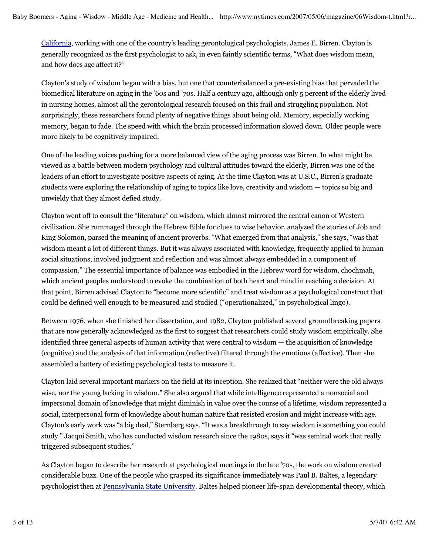California, working with one of the country's leading gerontological psychologists, James E. Birren. Clayton is generally recognized as the first psychologist to ask, in even faintly scientific terms, "What does wisdom mean, and how does age affect it?"

Clayton's study of wisdom began with a bias, but one that counterbalanced a pre-existing bias that pervaded the biomedical literature on aging in the '60s and '70s. Half a century ago, although only 5 percent of the elderly lived in nursing homes, almost all the gerontological research focused on this frail and struggling population. Not surprisingly, these researchers found plenty of negative things about being old. Memory, especially working memory, began to fade. The speed with which the brain processed information slowed down. Older people were more likely to be cognitively impaired.

One of the leading voices pushing for a more balanced view of the aging process was Birren. In what might be viewed as a battle between modern psychology and cultural attitudes toward the elderly, Birren was one of the leaders of an effort to investigate positive aspects of aging. At the time Clayton was at U.S.C., Birren's graduate students were exploring the relationship of aging to topics like love, creativity and wisdom — topics so big and unwieldy that they almost defied study.

Clayton went off to consult the "literature" on wisdom, which almost mirrored the central canon of Western civilization. She rummaged through the Hebrew Bible for clues to wise behavior, analyzed the stories of Job and King Solomon, parsed the meaning of ancient proverbs. "What emerged from that analysis," she says, "was that wisdom meant a lot of different things. But it was always associated with knowledge, frequently applied to human social situations, involved judgment and reflection and was almost always embedded in a component of compassion." The essential importance of balance was embodied in the Hebrew word for wisdom, chochmah, which ancient peoples understood to evoke the combination of both heart and mind in reaching a decision. At that point, Birren advised Clayton to "become more scientific" and treat wisdom as a psychological construct that could be defined well enough to be measured and studied ("operationalized," in psychological lingo).

Between 1976, when she finished her dissertation, and 1982, Clayton published several groundbreaking papers that are now generally acknowledged as the first to suggest that researchers could study wisdom empirically. She identified three general aspects of human activity that were central to wisdom — the acquisition of knowledge (cognitive) and the analysis of that information (reflective) filtered through the emotions (affective). Then she assembled a battery of existing psychological tests to measure it.

Clayton laid several important markers on the field at its inception. She realized that "neither were the old always wise, nor the young lacking in wisdom." She also argued that while intelligence represented a nonsocial and impersonal domain of knowledge that might diminish in value over the course of a lifetime, wisdom represented a social, interpersonal form of knowledge about human nature that resisted erosion and might increase with age. Clayton's early work was "a big deal," Sternberg says. "It was a breakthrough to say wisdom is something you could study." Jacqui Smith, who has conducted wisdom research since the 1980s, says it "was seminal work that really triggered subsequent studies."

As Clayton began to describe her research at psychological meetings in the late '70s, the work on wisdom created considerable buzz. One of the people who grasped its significance immediately was Paul B. Baltes, a legendary psychologist then at Pennsylvania State University. Baltes helped pioneer life-span developmental theory, which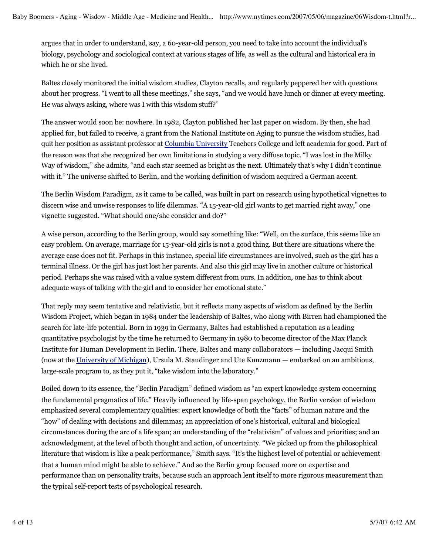argues that in order to understand, say, a 60-year-old person, you need to take into account the individual's biology, psychology and sociological context at various stages of life, as well as the cultural and historical era in which he or she lived.

Baltes closely monitored the initial wisdom studies, Clayton recalls, and regularly peppered her with questions about her progress. "I went to all these meetings," she says, "and we would have lunch or dinner at every meeting. He was always asking, where was I with this wisdom stuff?"

The answer would soon be: nowhere. In 1982, Clayton published her last paper on wisdom. By then, she had applied for, but failed to receive, a grant from the National Institute on Aging to pursue the wisdom studies, had quit her position as assistant professor at Columbia University Teachers College and left academia for good. Part of the reason was that she recognized her own limitations in studying a very diffuse topic. "I was lost in the Milky Way of wisdom," she admits, "and each star seemed as bright as the next. Ultimately that's why I didn't continue with it." The universe shifted to Berlin, and the working definition of wisdom acquired a German accent.

The Berlin Wisdom Paradigm, as it came to be called, was built in part on research using hypothetical vignettes to discern wise and unwise responses to life dilemmas. "A 15-year-old girl wants to get married right away," one vignette suggested. "What should one/she consider and do?"

A wise person, according to the Berlin group, would say something like: "Well, on the surface, this seems like an easy problem. On average, marriage for 15-year-old girls is not a good thing. But there are situations where the average case does not fit. Perhaps in this instance, special life circumstances are involved, such as the girl has a terminal illness. Or the girl has just lost her parents. And also this girl may live in another culture or historical period. Perhaps she was raised with a value system different from ours. In addition, one has to think about adequate ways of talking with the girl and to consider her emotional state."

That reply may seem tentative and relativistic, but it reflects many aspects of wisdom as defined by the Berlin Wisdom Project, which began in 1984 under the leadership of Baltes, who along with Birren had championed the search for late-life potential. Born in 1939 in Germany, Baltes had established a reputation as a leading quantitative psychologist by the time he returned to Germany in 1980 to become director of the Max Planck Institute for Human Development in Berlin. There, Baltes and many collaborators — including Jacqui Smith (now at the University of Michigan), Ursula M. Staudinger and Ute Kunzmann — embarked on an ambitious, large-scale program to, as they put it, "take wisdom into the laboratory."

Boiled down to its essence, the "Berlin Paradigm" defined wisdom as "an expert knowledge system concerning the fundamental pragmatics of life." Heavily influenced by life-span psychology, the Berlin version of wisdom emphasized several complementary qualities: expert knowledge of both the "facts" of human nature and the "how" of dealing with decisions and dilemmas; an appreciation of one's historical, cultural and biological circumstances during the arc of a life span; an understanding of the "relativism" of values and priorities; and an acknowledgment, at the level of both thought and action, of uncertainty. "We picked up from the philosophical literature that wisdom is like a peak performance," Smith says. "It's the highest level of potential or achievement that a human mind might be able to achieve." And so the Berlin group focused more on expertise and performance than on personality traits, because such an approach lent itself to more rigorous measurement than the typical self-report tests of psychological research.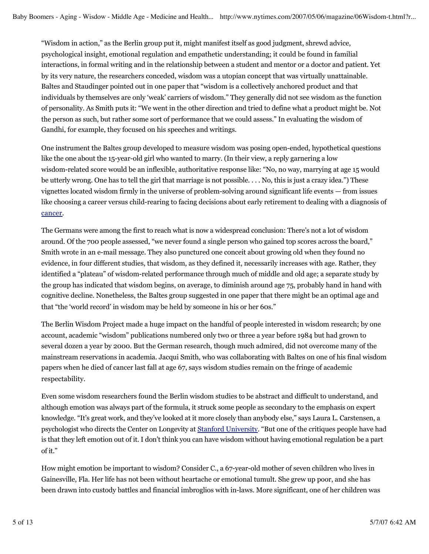"Wisdom in action," as the Berlin group put it, might manifest itself as good judgment, shrewd advice, psychological insight, emotional regulation and empathetic understanding; it could be found in familial interactions, in formal writing and in the relationship between a student and mentor or a doctor and patient. Yet by its very nature, the researchers conceded, wisdom was a utopian concept that was virtually unattainable. Baltes and Staudinger pointed out in one paper that "wisdom is a collectively anchored product and that individuals by themselves are only 'weak' carriers of wisdom." They generally did not see wisdom as the function of personality. As Smith puts it: "We went in the other direction and tried to define what a product might be. Not the person as such, but rather some sort of performance that we could assess." In evaluating the wisdom of Gandhi, for example, they focused on his speeches and writings.

One instrument the Baltes group developed to measure wisdom was posing open-ended, hypothetical questions like the one about the 15-year-old girl who wanted to marry. (In their view, a reply garnering a low wisdom-related score would be an inflexible, authoritative response like: "No, no way, marrying at age 15 would be utterly wrong. One has to tell the girl that marriage is not possible. . . . No, this is just a crazy idea.") These vignettes located wisdom firmly in the universe of problem-solving around significant life events — from issues like choosing a career versus child-rearing to facing decisions about early retirement to dealing with a diagnosis of cancer.

The Germans were among the first to reach what is now a widespread conclusion: There's not a lot of wisdom around. Of the 700 people assessed, "we never found a single person who gained top scores across the board," Smith wrote in an e-mail message. They also punctured one conceit about growing old when they found no evidence, in four different studies, that wisdom, as they defined it, necessarily increases with age. Rather, they identified a "plateau" of wisdom-related performance through much of middle and old age; a separate study by the group has indicated that wisdom begins, on average, to diminish around age 75, probably hand in hand with cognitive decline. Nonetheless, the Baltes group suggested in one paper that there might be an optimal age and that "the 'world record' in wisdom may be held by someone in his or her 60s."

The Berlin Wisdom Project made a huge impact on the handful of people interested in wisdom research; by one account, academic "wisdom" publications numbered only two or three a year before 1984 but had grown to several dozen a year by 2000. But the German research, though much admired, did not overcome many of the mainstream reservations in academia. Jacqui Smith, who was collaborating with Baltes on one of his final wisdom papers when he died of cancer last fall at age 67, says wisdom studies remain on the fringe of academic respectability.

Even some wisdom researchers found the Berlin wisdom studies to be abstract and difficult to understand, and although emotion was always part of the formula, it struck some people as secondary to the emphasis on expert knowledge. "It's great work, and they've looked at it more closely than anybody else," says Laura L. Carstensen, a psychologist who directs the Center on Longevity at Stanford University. "But one of the critiques people have had is that they left emotion out of it. I don't think you can have wisdom without having emotional regulation be a part of it."

How might emotion be important to wisdom? Consider C., a 67-year-old mother of seven children who lives in Gainesville, Fla. Her life has not been without heartache or emotional tumult. She grew up poor, and she has been drawn into custody battles and financial imbroglios with in-laws. More significant, one of her children was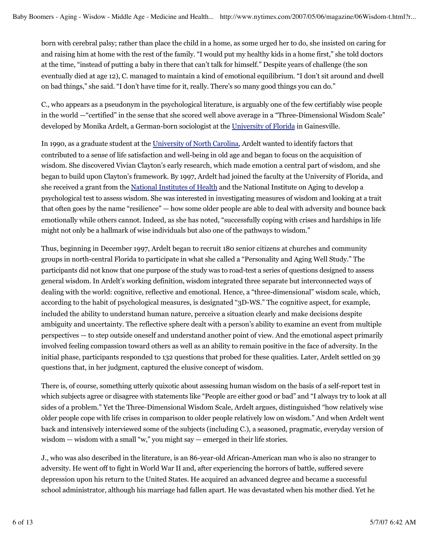born with cerebral palsy; rather than place the child in a home, as some urged her to do, she insisted on caring for and raising him at home with the rest of the family. "I would put my healthy kids in a home first," she told doctors at the time, "instead of putting a baby in there that can't talk for himself." Despite years of challenge (the son eventually died at age 12), C. managed to maintain a kind of emotional equilibrium. "I don't sit around and dwell on bad things," she said. "I don't have time for it, really. There's so many good things you can do."

C., who appears as a pseudonym in the psychological literature, is arguably one of the few certifiably wise people in the world —"certified" in the sense that she scored well above average in a "Three-Dimensional Wisdom Scale" developed by Monika Ardelt, a German-born sociologist at the University of Florida in Gainesville.

In 1990, as a graduate student at the University of North Carolina, Ardelt wanted to identify factors that contributed to a sense of life satisfaction and well-being in old age and began to focus on the acquisition of wisdom. She discovered Vivian Clayton's early research, which made emotion a central part of wisdom, and she began to build upon Clayton's framework. By 1997, Ardelt had joined the faculty at the University of Florida, and she received a grant from the National Institutes of Health and the National Institute on Aging to develop a psychological test to assess wisdom. She was interested in investigating measures of wisdom and looking at a trait that often goes by the name "resilience" — how some older people are able to deal with adversity and bounce back emotionally while others cannot. Indeed, as she has noted, "successfully coping with crises and hardships in life might not only be a hallmark of wise individuals but also one of the pathways to wisdom."

Thus, beginning in December 1997, Ardelt began to recruit 180 senior citizens at churches and community groups in north-central Florida to participate in what she called a "Personality and Aging Well Study." The participants did not know that one purpose of the study was to road-test a series of questions designed to assess general wisdom. In Ardelt's working definition, wisdom integrated three separate but interconnected ways of dealing with the world: cognitive, reflective and emotional. Hence, a "three-dimensional" wisdom scale, which, according to the habit of psychological measures, is designated "3D-WS." The cognitive aspect, for example, included the ability to understand human nature, perceive a situation clearly and make decisions despite ambiguity and uncertainty. The reflective sphere dealt with a person's ability to examine an event from multiple perspectives — to step outside oneself and understand another point of view. And the emotional aspect primarily involved feeling compassion toward others as well as an ability to remain positive in the face of adversity. In the initial phase, participants responded to 132 questions that probed for these qualities. Later, Ardelt settled on 39 questions that, in her judgment, captured the elusive concept of wisdom.

There is, of course, something utterly quixotic about assessing human wisdom on the basis of a self-report test in which subjects agree or disagree with statements like "People are either good or bad" and "I always try to look at all sides of a problem." Yet the Three-Dimensional Wisdom Scale, Ardelt argues, distinguished "how relatively wise older people cope with life crises in comparison to older people relatively low on wisdom." And when Ardelt went back and intensively interviewed some of the subjects (including C.), a seasoned, pragmatic, everyday version of wisdom — wisdom with a small "w," you might say — emerged in their life stories.

J., who was also described in the literature, is an 86-year-old African-American man who is also no stranger to adversity. He went off to fight in World War II and, after experiencing the horrors of battle, suffered severe depression upon his return to the United States. He acquired an advanced degree and became a successful school administrator, although his marriage had fallen apart. He was devastated when his mother died. Yet he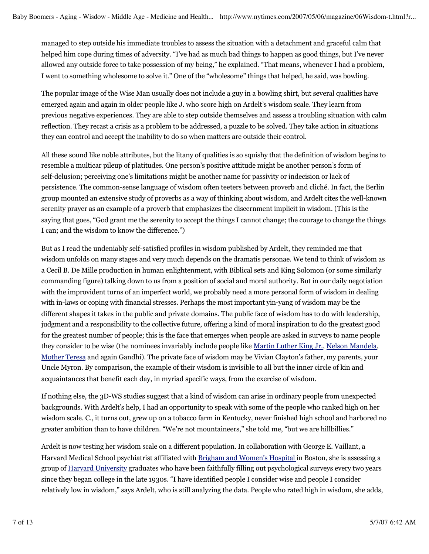managed to step outside his immediate troubles to assess the situation with a detachment and graceful calm that helped him cope during times of adversity. "I've had as much bad things to happen as good things, but I've never allowed any outside force to take possession of my being," he explained. "That means, whenever I had a problem, I went to something wholesome to solve it." One of the "wholesome" things that helped, he said, was bowling.

The popular image of the Wise Man usually does not include a guy in a bowling shirt, but several qualities have emerged again and again in older people like J. who score high on Ardelt's wisdom scale. They learn from previous negative experiences. They are able to step outside themselves and assess a troubling situation with calm reflection. They recast a crisis as a problem to be addressed, a puzzle to be solved. They take action in situations they can control and accept the inability to do so when matters are outside their control.

All these sound like noble attributes, but the litany of qualities is so squishy that the definition of wisdom begins to resemble a multicar pileup of platitudes. One person's positive attitude might be another person's form of self-delusion; perceiving one's limitations might be another name for passivity or indecision or lack of persistence. The common-sense language of wisdom often teeters between proverb and cliché. In fact, the Berlin group mounted an extensive study of proverbs as a way of thinking about wisdom, and Ardelt cites the well-known serenity prayer as an example of a proverb that emphasizes the discernment implicit in wisdom. (This is the saying that goes, "God grant me the serenity to accept the things I cannot change; the courage to change the things I can; and the wisdom to know the difference.")

But as I read the undeniably self-satisfied profiles in wisdom published by Ardelt, they reminded me that wisdom unfolds on many stages and very much depends on the dramatis personae. We tend to think of wisdom as a Cecil B. De Mille production in human enlightenment, with Biblical sets and King Solomon (or some similarly commanding figure) talking down to us from a position of social and moral authority. But in our daily negotiation with the improvident turns of an imperfect world, we probably need a more personal form of wisdom in dealing with in-laws or coping with financial stresses. Perhaps the most important yin-yang of wisdom may be the different shapes it takes in the public and private domains. The public face of wisdom has to do with leadership, judgment and a responsibility to the collective future, offering a kind of moral inspiration to do the greatest good for the greatest number of people; this is the face that emerges when people are asked in surveys to name people they consider to be wise (the nominees invariably include people like Martin Luther King Jr., Nelson Mandela, Mother Teresa and again Gandhi). The private face of wisdom may be Vivian Clayton's father, my parents, your Uncle Myron. By comparison, the example of their wisdom is invisible to all but the inner circle of kin and acquaintances that benefit each day, in myriad specific ways, from the exercise of wisdom.

If nothing else, the 3D-WS studies suggest that a kind of wisdom can arise in ordinary people from unexpected backgrounds. With Ardelt's help, I had an opportunity to speak with some of the people who ranked high on her wisdom scale. C., it turns out, grew up on a tobacco farm in Kentucky, never finished high school and harbored no greater ambition than to have children. "We're not mountaineers," she told me, "but we are hillbillies."

Ardelt is now testing her wisdom scale on a different population. In collaboration with George E. Vaillant, a Harvard Medical School psychiatrist affiliated with Brigham and Women's Hospital in Boston, she is assessing a group of Harvard University graduates who have been faithfully filling out psychological surveys every two years since they began college in the late 1930s. "I have identified people I consider wise and people I consider relatively low in wisdom," says Ardelt, who is still analyzing the data. People who rated high in wisdom, she adds,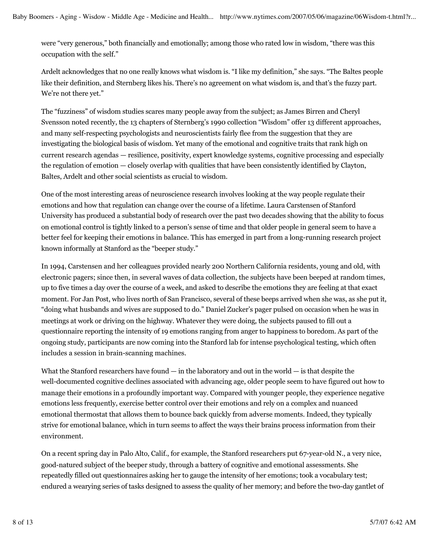were "very generous," both financially and emotionally; among those who rated low in wisdom, "there was this occupation with the self."

Ardelt acknowledges that no one really knows what wisdom is. "I like my definition," she says. "The Baltes people like their definition, and Sternberg likes his. There's no agreement on what wisdom is, and that's the fuzzy part. We're not there yet."

The "fuzziness" of wisdom studies scares many people away from the subject; as James Birren and Cheryl Svensson noted recently, the 13 chapters of Sternberg's 1990 collection "Wisdom" offer 13 different approaches, and many self-respecting psychologists and neuroscientists fairly flee from the suggestion that they are investigating the biological basis of wisdom. Yet many of the emotional and cognitive traits that rank high on current research agendas — resilience, positivity, expert knowledge systems, cognitive processing and especially the regulation of emotion — closely overlap with qualities that have been consistently identified by Clayton, Baltes, Ardelt and other social scientists as crucial to wisdom.

One of the most interesting areas of neuroscience research involves looking at the way people regulate their emotions and how that regulation can change over the course of a lifetime. Laura Carstensen of Stanford University has produced a substantial body of research over the past two decades showing that the ability to focus on emotional control is tightly linked to a person's sense of time and that older people in general seem to have a better feel for keeping their emotions in balance. This has emerged in part from a long-running research project known informally at Stanford as the "beeper study."

In 1994, Carstensen and her colleagues provided nearly 200 Northern California residents, young and old, with electronic pagers; since then, in several waves of data collection, the subjects have been beeped at random times, up to five times a day over the course of a week, and asked to describe the emotions they are feeling at that exact moment. For Jan Post, who lives north of San Francisco, several of these beeps arrived when she was, as she put it, "doing what husbands and wives are supposed to do." Daniel Zucker's pager pulsed on occasion when he was in meetings at work or driving on the highway. Whatever they were doing, the subjects paused to fill out a questionnaire reporting the intensity of 19 emotions ranging from anger to happiness to boredom. As part of the ongoing study, participants are now coming into the Stanford lab for intense psychological testing, which often includes a session in brain-scanning machines.

What the Stanford researchers have found  $-$  in the laboratory and out in the world  $-$  is that despite the well-documented cognitive declines associated with advancing age, older people seem to have figured out how to manage their emotions in a profoundly important way. Compared with younger people, they experience negative emotions less frequently, exercise better control over their emotions and rely on a complex and nuanced emotional thermostat that allows them to bounce back quickly from adverse moments. Indeed, they typically strive for emotional balance, which in turn seems to affect the ways their brains process information from their environment.

On a recent spring day in Palo Alto, Calif., for example, the Stanford researchers put 67-year-old N., a very nice, good-natured subject of the beeper study, through a battery of cognitive and emotional assessments. She repeatedly filled out questionnaires asking her to gauge the intensity of her emotions; took a vocabulary test; endured a wearying series of tasks designed to assess the quality of her memory; and before the two-day gantlet of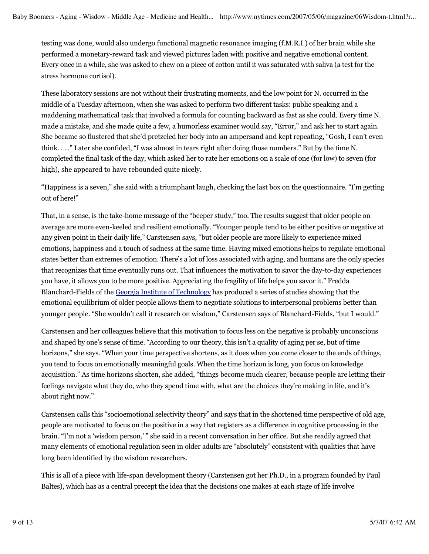testing was done, would also undergo functional magnetic resonance imaging (f.M.R.I.) of her brain while she performed a monetary-reward task and viewed pictures laden with positive and negative emotional content. Every once in a while, she was asked to chew on a piece of cotton until it was saturated with saliva (a test for the stress hormone cortisol).

These laboratory sessions are not without their frustrating moments, and the low point for N. occurred in the middle of a Tuesday afternoon, when she was asked to perform two different tasks: public speaking and a maddening mathematical task that involved a formula for counting backward as fast as she could. Every time N. made a mistake, and she made quite a few, a humorless examiner would say, "Error," and ask her to start again. She became so flustered that she'd pretzeled her body into an ampersand and kept repeating, "Gosh, I can't even think. . . ." Later she confided, "I was almost in tears right after doing those numbers." But by the time N. completed the final task of the day, which asked her to rate her emotions on a scale of one (for low) to seven (for high), she appeared to have rebounded quite nicely.

"Happiness is a seven," she said with a triumphant laugh, checking the last box on the questionnaire. "I'm getting out of here!"

That, in a sense, is the take-home message of the "beeper study," too. The results suggest that older people on average are more even-keeled and resilient emotionally. "Younger people tend to be either positive or negative at any given point in their daily life," Carstensen says, "but older people are more likely to experience mixed emotions, happiness and a touch of sadness at the same time. Having mixed emotions helps to regulate emotional states better than extremes of emotion. There's a lot of loss associated with aging, and humans are the only species that recognizes that time eventually runs out. That influences the motivation to savor the day-to-day experiences you have, it allows you to be more positive. Appreciating the fragility of life helps you savor it." Fredda Blanchard-Fields of the Georgia Institute of Technology has produced a series of studies showing that the emotional equilibrium of older people allows them to negotiate solutions to interpersonal problems better than younger people. "She wouldn't call it research on wisdom," Carstensen says of Blanchard-Fields, "but I would."

Carstensen and her colleagues believe that this motivation to focus less on the negative is probably unconscious and shaped by one's sense of time. "According to our theory, this isn't a quality of aging per se, but of time horizons," she says. "When your time perspective shortens, as it does when you come closer to the ends of things, you tend to focus on emotionally meaningful goals. When the time horizon is long, you focus on knowledge acquisition." As time horizons shorten, she added, "things become much clearer, because people are letting their feelings navigate what they do, who they spend time with, what are the choices they're making in life, and it's about right now."

Carstensen calls this "socioemotional selectivity theory" and says that in the shortened time perspective of old age, people are motivated to focus on the positive in a way that registers as a difference in cognitive processing in the brain. "I'm not a 'wisdom person,' " she said in a recent conversation in her office. But she readily agreed that many elements of emotional regulation seen in older adults are "absolutely" consistent with qualities that have long been identified by the wisdom researchers.

This is all of a piece with life-span development theory (Carstensen got her Ph.D., in a program founded by Paul Baltes), which has as a central precept the idea that the decisions one makes at each stage of life involve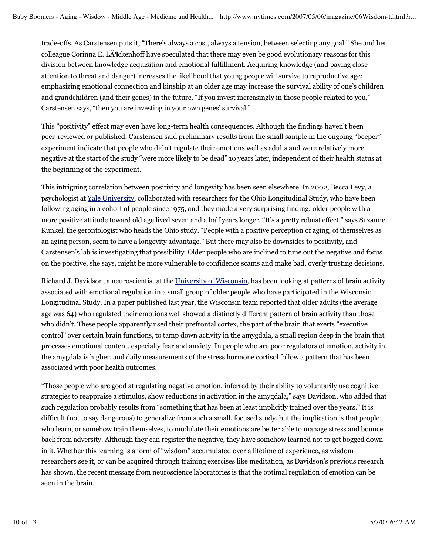trade-offs. As Carstensen puts it, "There's always a cost, always a tension, between selecting any goal." She and her colleague Corinna E. L<del>Ã</del>¶ckenhoff have speculated that there may even be good evolutionary reasons for this division between knowledge acquisition and emotional fulfillment. Acquiring knowledge (and paying close attention to threat and danger) increases the likelihood that young people will survive to reproductive age; emphasizing emotional connection and kinship at an older age may increase the survival ability of one's children and grandchildren (and their genes) in the future. "If you invest increasingly in those people related to you," Carstensen says, "then you are investing in your own genes' survival."

This "positivity" effect may even have long-term health consequences. Although the findings haven't been peer-reviewed or published, Carstensen said preliminary results from the small sample in the ongoing "beeper" experiment indicate that people who didn't regulate their emotions well as adults and were relatively more negative at the start of the study "were more likely to be dead" 10 years later, independent of their health status at the beginning of the experiment.

This intriguing correlation between positivity and longevity has been seen elsewhere. In 2002, Becca Levy, a psychologist at Yale University, collaborated with researchers for the Ohio Longitudinal Study, who have been following aging in a cohort of people since 1975, and they made a very surprising finding: older people with a more positive attitude toward old age lived seven and a half years longer. "It's a pretty robust effect," says Suzanne Kunkel, the gerontologist who heads the Ohio study. "People with a positive perception of aging, of themselves as an aging person, seem to have a longevity advantage." But there may also be downsides to positivity, and Carstensen's lab is investigating that possibility. Older people who are inclined to tune out the negative and focus on the positive, she says, might be more vulnerable to confidence scams and make bad, overly trusting decisions.

Richard J. Davidson, a neuroscientist at the University of Wisconsin, has been looking at patterns of brain activity associated with emotional regulation in a small group of older people who have participated in the Wisconsin Longitudinal Study. In a paper published last year, the Wisconsin team reported that older adults (the average age was 64) who regulated their emotions well showed a distinctly different pattern of brain activity than those who didn't. These people apparently used their prefrontal cortex, the part of the brain that exerts "executive control" over certain brain functions, to tamp down activity in the amygdala, a small region deep in the brain that processes emotional content, especially fear and anxiety. In people who are poor regulators of emotion, activity in the amygdala is higher, and daily measurements of the stress hormone cortisol follow a pattern that has been associated with poor health outcomes.

"Those people who are good at regulating negative emotion, inferred by their ability to voluntarily use cognitive strategies to reappraise a stimulus, show reductions in activation in the amygdala," says Davidson, who added that such regulation probably results from "something that has been at least implicitly trained over the years." It is difficult (not to say dangerous) to generalize from such a small, focused study, but the implication is that people who learn, or somehow train themselves, to modulate their emotions are better able to manage stress and bounce back from adversity. Although they can register the negative, they have somehow learned not to get bogged down in it. Whether this learning is a form of "wisdom" accumulated over a lifetime of experience, as wisdom researchers see it, or can be acquired through training exercises like meditation, as Davidson's previous research has shown, the recent message from neuroscience laboratories is that the optimal regulation of emotion can be seen in the brain.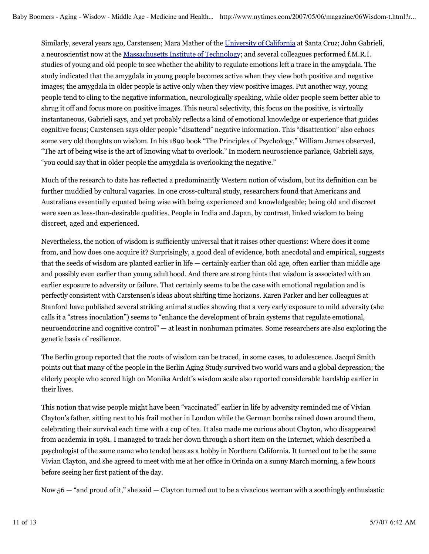Similarly, several years ago, Carstensen; Mara Mather of the University of California at Santa Cruz; John Gabrieli, a neuroscientist now at the Massachusetts Institute of Technology; and several colleagues performed f.M.R.I. studies of young and old people to see whether the ability to regulate emotions left a trace in the amygdala. The study indicated that the amygdala in young people becomes active when they view both positive and negative images; the amygdala in older people is active only when they view positive images. Put another way, young people tend to cling to the negative information, neurologically speaking, while older people seem better able to shrug it off and focus more on positive images. This neural selectivity, this focus on the positive, is virtually instantaneous, Gabrieli says, and yet probably reflects a kind of emotional knowledge or experience that guides cognitive focus; Carstensen says older people "disattend" negative information. This "disattention" also echoes some very old thoughts on wisdom. In his 1890 book "The Principles of Psychology," William James observed, "The art of being wise is the art of knowing what to overlook." In modern neuroscience parlance, Gabrieli says, "you could say that in older people the amygdala is overlooking the negative."

Much of the research to date has reflected a predominantly Western notion of wisdom, but its definition can be further muddied by cultural vagaries. In one cross-cultural study, researchers found that Americans and Australians essentially equated being wise with being experienced and knowledgeable; being old and discreet were seen as less-than-desirable qualities. People in India and Japan, by contrast, linked wisdom to being discreet, aged and experienced.

Nevertheless, the notion of wisdom is sufficiently universal that it raises other questions: Where does it come from, and how does one acquire it? Surprisingly, a good deal of evidence, both anecdotal and empirical, suggests that the seeds of wisdom are planted earlier in life — certainly earlier than old age, often earlier than middle age and possibly even earlier than young adulthood. And there are strong hints that wisdom is associated with an earlier exposure to adversity or failure. That certainly seems to be the case with emotional regulation and is perfectly consistent with Carstensen's ideas about shifting time horizons. Karen Parker and her colleagues at Stanford have published several striking animal studies showing that a very early exposure to mild adversity (she calls it a "stress inoculation") seems to "enhance the development of brain systems that regulate emotional, neuroendocrine and cognitive control" — at least in nonhuman primates. Some researchers are also exploring the genetic basis of resilience.

The Berlin group reported that the roots of wisdom can be traced, in some cases, to adolescence. Jacqui Smith points out that many of the people in the Berlin Aging Study survived two world wars and a global depression; the elderly people who scored high on Monika Ardelt's wisdom scale also reported considerable hardship earlier in their lives.

This notion that wise people might have been "vaccinated" earlier in life by adversity reminded me of Vivian Clayton's father, sitting next to his frail mother in London while the German bombs rained down around them, celebrating their survival each time with a cup of tea. It also made me curious about Clayton, who disappeared from academia in 1981. I managed to track her down through a short item on the Internet, which described a psychologist of the same name who tended bees as a hobby in Northern California. It turned out to be the same Vivian Clayton, and she agreed to meet with me at her office in Orinda on a sunny March morning, a few hours before seeing her first patient of the day.

Now 56 — "and proud of it," she said — Clayton turned out to be a vivacious woman with a soothingly enthusiastic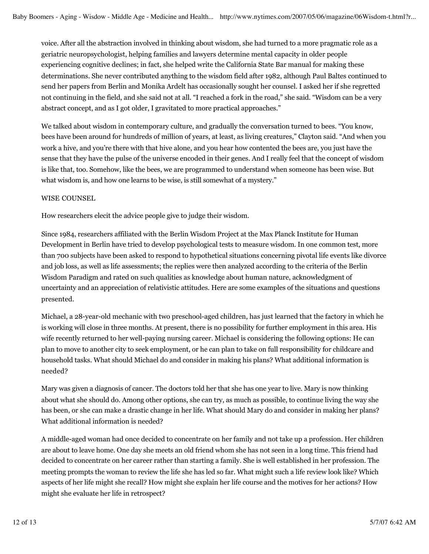voice. After all the abstraction involved in thinking about wisdom, she had turned to a more pragmatic role as a geriatric neuropsychologist, helping families and lawyers determine mental capacity in older people experiencing cognitive declines; in fact, she helped write the California State Bar manual for making these determinations. She never contributed anything to the wisdom field after 1982, although Paul Baltes continued to send her papers from Berlin and Monika Ardelt has occasionally sought her counsel. I asked her if she regretted not continuing in the field, and she said not at all. "I reached a fork in the road," she said. "Wisdom can be a very abstract concept, and as I got older, I gravitated to more practical approaches."

We talked about wisdom in contemporary culture, and gradually the conversation turned to bees. "You know, bees have been around for hundreds of million of years, at least, as living creatures," Clayton said. "And when you work a hive, and you're there with that hive alone, and you hear how contented the bees are, you just have the sense that they have the pulse of the universe encoded in their genes. And I really feel that the concept of wisdom is like that, too. Somehow, like the bees, we are programmed to understand when someone has been wise. But what wisdom is, and how one learns to be wise, is still somewhat of a mystery."

## WISE COUNSEL

How researchers elecit the advice people give to judge their wisdom.

Since 1984, researchers affiliated with the Berlin Wisdom Project at the Max Planck Institute for Human Development in Berlin have tried to develop psychological tests to measure wisdom. In one common test, more than 700 subjects have been asked to respond to hypothetical situations concerning pivotal life events like divorce and job loss, as well as life assessments; the replies were then analyzed according to the criteria of the Berlin Wisdom Paradigm and rated on such qualities as knowledge about human nature, acknowledgment of uncertainty and an appreciation of relativistic attitudes. Here are some examples of the situations and questions presented.

Michael, a 28-year-old mechanic with two preschool-aged children, has just learned that the factory in which he is working will close in three months. At present, there is no possibility for further employment in this area. His wife recently returned to her well-paying nursing career. Michael is considering the following options: He can plan to move to another city to seek employment, or he can plan to take on full responsibility for childcare and household tasks. What should Michael do and consider in making his plans? What additional information is needed?

Mary was given a diagnosis of cancer. The doctors told her that she has one year to live. Mary is now thinking about what she should do. Among other options, she can try, as much as possible, to continue living the way she has been, or she can make a drastic change in her life. What should Mary do and consider in making her plans? What additional information is needed?

A middle-aged woman had once decided to concentrate on her family and not take up a profession. Her children are about to leave home. One day she meets an old friend whom she has not seen in a long time. This friend had decided to concentrate on her career rather than starting a family. She is well established in her profession. The meeting prompts the woman to review the life she has led so far. What might such a life review look like? Which aspects of her life might she recall? How might she explain her life course and the motives for her actions? How might she evaluate her life in retrospect?